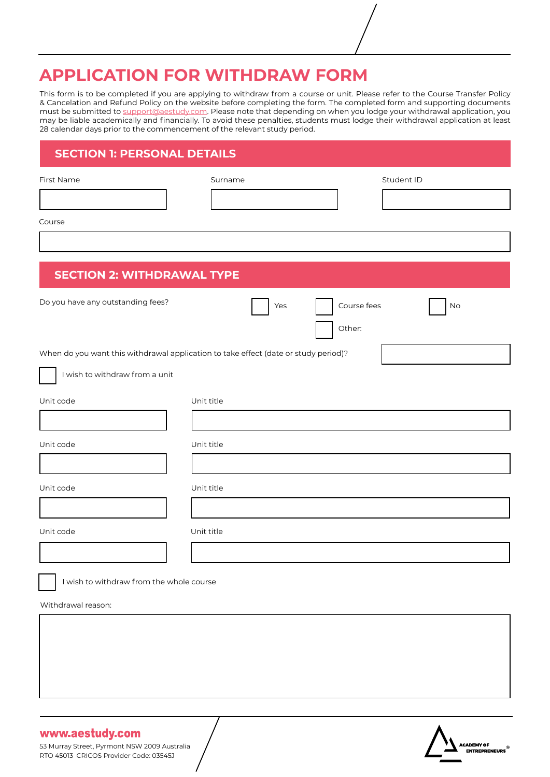# **APPLICATION FOR WITHDRAW FORM**

This form is to be completed if you are applying to withdraw from a course or unit. Please refer to the Course Transfer Policy & Cancelation and Refund Policy on the website before completing the form. The completed form and supporting documents must be submitted to support@aestudy.com. Please note that depending on when you lodge your withdrawal application, you may be liable academically and financially. To avoid these penalties, students must lodge their withdrawal application at least 28 calendar days prior to the commencement of the relevant study period.

# **SECTION 1: PERSONAL DETAILS**

| First Name                                                                          | Surname    |                              | Student ID |  |  |
|-------------------------------------------------------------------------------------|------------|------------------------------|------------|--|--|
|                                                                                     |            |                              |            |  |  |
| Course                                                                              |            |                              |            |  |  |
|                                                                                     |            |                              |            |  |  |
| <b>SECTION 2: WITHDRAWAL TYPE</b>                                                   |            |                              |            |  |  |
| Do you have any outstanding fees?                                                   |            | Course fees<br>Yes<br>Other: | No         |  |  |
| When do you want this withdrawal application to take effect (date or study period)? |            |                              |            |  |  |
| I wish to withdraw from a unit                                                      |            |                              |            |  |  |
| Unit code                                                                           | Unit title |                              |            |  |  |
|                                                                                     |            |                              |            |  |  |
| Unit code                                                                           | Unit title |                              |            |  |  |
|                                                                                     |            |                              |            |  |  |
| Unit code                                                                           | Unit title |                              |            |  |  |
|                                                                                     |            |                              |            |  |  |
| Unit code                                                                           | Unit title |                              |            |  |  |
|                                                                                     |            |                              |            |  |  |
| I wish to withdraw from the whole course                                            |            |                              |            |  |  |
| Withdrawal reason:                                                                  |            |                              |            |  |  |
|                                                                                     |            |                              |            |  |  |
|                                                                                     |            |                              |            |  |  |
|                                                                                     |            |                              |            |  |  |
|                                                                                     |            |                              |            |  |  |

## www.aestudy.com

53 Murray Street, Pyrmont NSW 2009 Australia RTO 45013 CRICOS Provider Code: 03545J